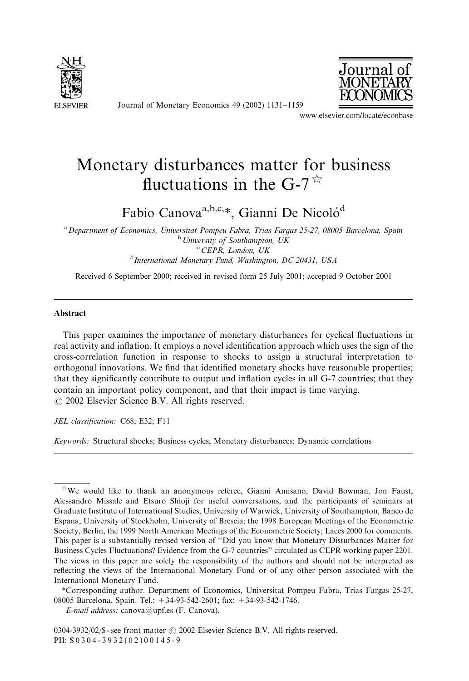

Journal of Monetary Economics 49 (2002) 1131–1159



www.elsevier.com/locate/econbase

# Monetary disturbances matter for business fluctuations in the G-7 $\overline{X}$

Fabio Canova<sup>a,b,c,\*</sup>, Gianni De Nicoló<sup>d</sup>

a Department of Economics, Universitat Pompeu Fabra, Trias Fargas 25-27, 08005 Barcelona, Spain  $<sup>b</sup>$  University of Southampton, UK</sup> <sup>c</sup> CEPR, London, UK <sup>d</sup> International Monetary Fund, Washington, DC 20431, USA

Received 6 September 2000; received in revised form 25 July 2001; accepted 9 October 2001

## Abstract

This paper examines the importance of monetary disturbances for cyclical fluctuations in real activity and inflation. It employs a novel identification approach which uses the sign of the cross-correlation function in response to shocks to assign a structural interpretation to orthogonal innovations. We find that identified monetary shocks have reasonable properties; that they significantly contribute to output and inflation cycles in all G-7 countries; that they contain an important policy component, and that their impact is time varying.  $\odot$  2002 Elsevier Science B.V. All rights reserved.

JEL classification: C68; E32; F11

Keywords: Structural shocks; Business cycles; Monetary disturbances; Dynamic correlations

 $\dot{\gamma}$  We would like to thank an anonymous referee, Gianni Amisano, David Bowman, Jon Faust, Alessandro Missale and Etsuro Shioji for useful conversations, and the participants of seminars at Graduate Institute of International Studies, University of Warwick, University of Southampton, Banco de Espana, University of Stockholm, University of Brescia; the 1998 European Meetings of the Econometric Society, Berlin, the 1999 North American Meetings of the Econometric Society; Laces 2000 for comments. This paper is a substantially revised version of ''Did you know that Monetary Disturbances Matter for Business Cycles Fluctuations? Evidence from the G-7 countries'' circulated as CEPR working paper 2201. The views in this paper are solely the responsibility of the authors and should not be interpreted as reflecting the views of the International Monetary Fund or of any other person associated with the International Monetary Fund.

<sup>\*</sup>Corresponding author. Department of Economics, Universitat Pompeu Fabra, Trias Fargas 25-27, 08005 Barcelona, Spain. Tel.: +34-93-542-2601; fax: +34-93-542-1746.

E-mail address: canova@upf.es (F. Canova).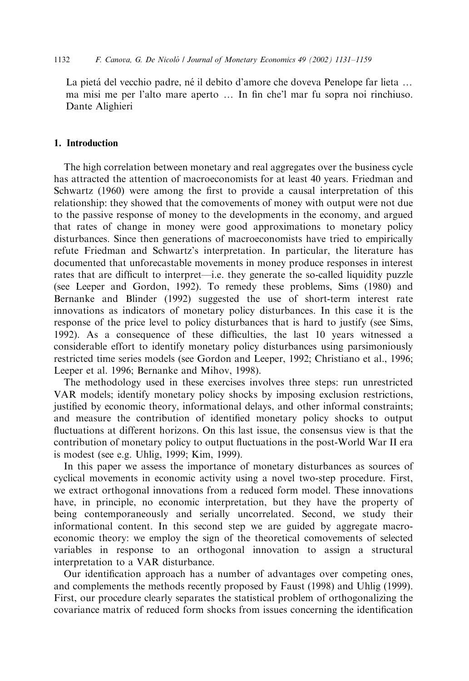## 1132 F. Canova, G. De Nicolo / Journal of Monetary Economics 49 (2002) 1131–1159 !

La pietá del vecchio padre, né il debito d'amore che doveva Penelope far lieta ... ma misi me per l'alto mare aperto ... In fin che'l mar fu sopra noi rinchiuso. Dante Alighieri

# 1. Introduction

The high correlation between monetary and real aggregates over the business cycle has attracted the attention of macroeconomists for at least 40 years. Friedman and Schwartz (1960) were among the first to provide a causal interpretation of this relationship: they showed that the comovements of money with output were not due to the passive response of money to the developments in the economy, and argued that rates of change in money were good approximations to monetary policy disturbances. Since then generations of macroeconomists have tried to empirically refute Friedman and Schwartz's interpretation. In particular, the literature has documented that unforecastable movements in money produce responses in interest rates that are difficult to interpret—i.e. they generate the so-called liquidity puzzle (see Leeper and Gordon, 1992). To remedy these problems, Sims (1980) and Bernanke and Blinder (1992) suggested the use of short-term interest rate innovations as indicators of monetary policy disturbances. In this case it is the response of the price level to policy disturbances that is hard to justify (see Sims, 1992). As a consequence of these difficulties, the last 10 years witnessed a considerable effort to identify monetary policy disturbances using parsimoniously restricted time series models (see Gordon and Leeper, 1992; Christiano et al., 1996; Leeper et al. 1996; Bernanke and Mihov, 1998).

The methodology used in these exercises involves three steps: run unrestricted VAR models; identify monetary policy shocks by imposing exclusion restrictions, justified by economic theory, informational delays, and other informal constraints; and measure the contribution of identified monetary policy shocks to output fluctuations at different horizons. On this last issue, the consensus view is that the contribution of monetary policy to output fluctuations in the post-World War II era is modest (see e.g. Uhlig, 1999; Kim, 1999).

In this paper we assess the importance of monetary disturbances as sources of cyclical movements in economic activity using a novel two-step procedure. First, we extract orthogonal innovations from a reduced form model. These innovations have, in principle, no economic interpretation, but they have the property of being contemporaneously and serially uncorrelated. Second, we study their informational content. In this second step we are guided by aggregate macroeconomic theory: we employ the sign of the theoretical comovements of selected variables in response to an orthogonal innovation to assign a structural interpretation to a VAR disturbance.

Our identification approach has a number of advantages over competing ones, and complements the methods recently proposed by Faust (1998) and Uhlig (1999). First, our procedure clearly separates the statistical problem of orthogonalizing the covariance matrix of reduced form shocks from issues concerning the identification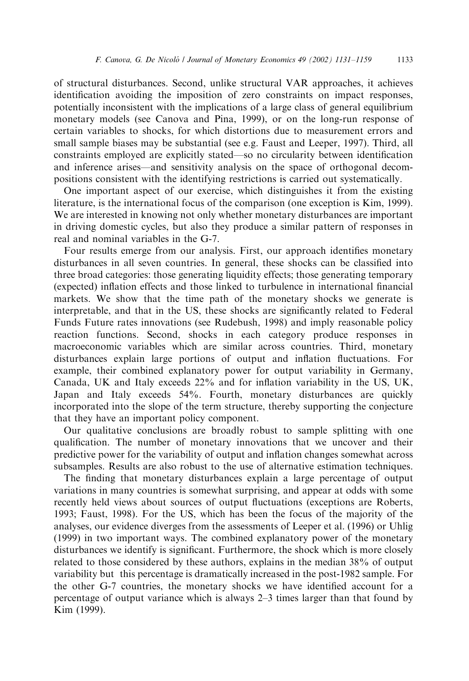of structural disturbances. Second, unlike structural VAR approaches, it achieves identification avoiding the imposition of zero constraints on impact responses, potentially inconsistent with the implications of a large class of general equilibrium monetary models (see Canova and Pina, 1999), or on the long-run response of certain variables to shocks, for which distortions due to measurement errors and small sample biases may be substantial (see e.g. Faust and Leeper, 1997). Third, all constraints employed are explicitly stated—so no circularity between identification and inference arises—and sensitivity analysis on the space of orthogonal decompositions consistent with the identifying restrictions is carried out systematically.

One important aspect of our exercise, which distinguishes it from the existing literature, is the international focus of the comparison (one exception is Kim, 1999). We are interested in knowing not only whether monetary disturbances are important in driving domestic cycles, but also they produce a similar pattern of responses in real and nominal variables in the G-7.

Four results emerge from our analysis. First, our approach identifies monetary disturbances in all seven countries. In general, these shocks can be classified into three broad categories: those generating liquidity effects; those generating temporary (expected) inflation effects and those linked to turbulence in international financial markets. We show that the time path of the monetary shocks we generate is interpretable, and that in the US, these shocks are significantly related to Federal Funds Future rates innovations (see Rudebush, 1998) and imply reasonable policy reaction functions. Second, shocks in each category produce responses in macroeconomic variables which are similar across countries. Third, monetary disturbances explain large portions of output and inflation fluctuations. For example, their combined explanatory power for output variability in Germany, Canada, UK and Italy exceeds 22% and for inflation variability in the US, UK, Japan and Italy exceeds 54%. Fourth, monetary disturbances are quickly incorporated into the slope of the term structure, thereby supporting the conjecture that they have an important policy component.

Our qualitative conclusions are broadly robust to sample splitting with one qualification. The number of monetary innovations that we uncover and their predictive power for the variability of output and inflation changes somewhat across subsamples. Results are also robust to the use of alternative estimation techniques.

The finding that monetary disturbances explain a large percentage of output variations in many countries is somewhat surprising, and appear at odds with some recently held views about sources of output fluctuations (exceptions are Roberts, 1993; Faust, 1998). For the US, which has been the focus of the majority of the analyses, our evidence diverges from the assessments of Leeper et al. (1996) or Uhlig (1999) in two important ways. The combined explanatory power of the monetary disturbances we identify is significant. Furthermore, the shock which is more closely related to those considered by these authors, explains in the median 38% of output variability but this percentage is dramatically increased in the post-1982 sample. For the other G-7 countries, the monetary shocks we have identified account for a percentage of output variance which is always 2–3 times larger than that found by Kim (1999).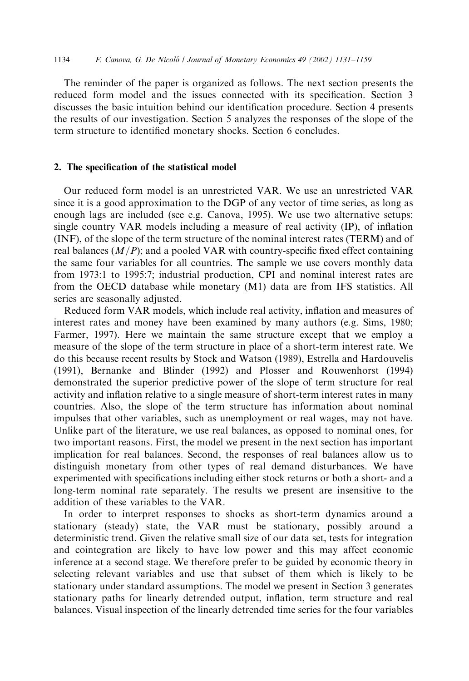The reminder of the paper is organized as follows. The next section presents the reduced form model and the issues connected with its specification. Section 3 discusses the basic intuition behind our identification procedure. Section 4 presents the results of our investigation. Section 5 analyzes the responses of the slope of the term structure to identified monetary shocks. Section 6 concludes.

# 2. The specification of the statistical model

Our reduced form model is an unrestricted VAR. We use an unrestricted VAR since it is a good approximation to the DGP of any vector of time series, as long as enough lags are included (see e.g. Canova, 1995). We use two alternative setups: single country VAR models including a measure of real activity (IP), of inflation (INF), of the slope of the term structure of the nominal interest rates (TERM) and of real balances  $(M/P)$ ; and a pooled VAR with country-specific fixed effect containing the same four variables for all countries. The sample we use covers monthly data from 1973:1 to 1995:7; industrial production, CPI and nominal interest rates are from the OECD database while monetary (M1) data are from IFS statistics. All series are seasonally adjusted.

Reduced form VAR models, which include real activity, inflation and measures of interest rates and money have been examined by many authors (e.g. Sims, 1980; Farmer, 1997). Here we maintain the same structure except that we employ a measure of the slope of the term structure in place of a short-term interest rate. We do this because recent results by Stock and Watson (1989), Estrella and Hardouvelis (1991), Bernanke and Blinder (1992) and Plosser and Rouwenhorst (1994) demonstrated the superior predictive power of the slope of term structure for real activity and inflation relative to a single measure of short-term interest rates in many countries. Also, the slope of the term structure has information about nominal impulses that other variables, such as unemployment or real wages, may not have. Unlike part of the literature, we use real balances, as opposed to nominal ones, for two important reasons. First, the model we present in the next section has important implication for real balances. Second, the responses of real balances allow us to distinguish monetary from other types of real demand disturbances. We have experimented with specifications including either stock returns or both a short- and a long-term nominal rate separately. The results we present are insensitive to the addition of these variables to the VAR.

In order to interpret responses to shocks as short-term dynamics around a stationary (steady) state, the VAR must be stationary, possibly around a deterministic trend. Given the relative small size of our data set, tests for integration and cointegration are likely to have low power and this may affect economic inference at a second stage. We therefore prefer to be guided by economic theory in selecting relevant variables and use that subset of them which is likely to be stationary under standard assumptions. The model we present in Section 3 generates stationary paths for linearly detrended output, inflation, term structure and real balances. Visual inspection of the linearly detrended time series for the four variables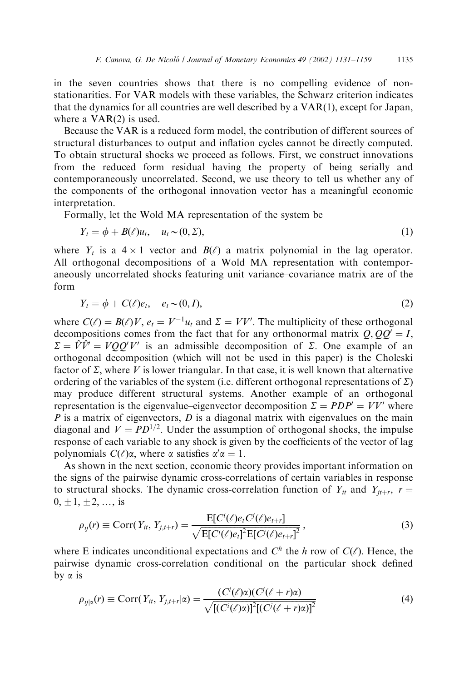in the seven countries shows that there is no compelling evidence of nonstationarities. For VAR models with these variables, the Schwarz criterion indicates that the dynamics for all countries are well described by a VAR(1), except for Japan, where a VAR(2) is used.

Because the VAR is a reduced form model, the contribution of different sources of structural disturbances to output and inflation cycles cannot be directly computed. To obtain structural shocks we proceed as follows. First, we construct innovations from the reduced form residual having the property of being serially and contemporaneously uncorrelated. Second, we use theory to tell us whether any of the components of the orthogonal innovation vector has a meaningful economic interpretation.

Formally, let the Wold MA representation of the system be

$$
Y_t = \phi + B(\ell)u_t, \quad u_t \sim (0, \Sigma), \tag{1}
$$

where  $Y_t$  is a  $4 \times 1$  vector and  $B(\ell)$  a matrix polynomial in the lag operator. All orthogonal decompositions of a Wold MA representation with contemporaneously uncorrelated shocks featuring unit variance–covariance matrix are of the form

$$
Y_t = \phi + C(\ell)e_t, \quad e_t \sim (0, I), \tag{2}
$$

where  $C(\ell) = B(\ell)V$ ,  $e_t = V^{-1}u_t$  and  $\Sigma = VV'$ . The multiplicity of these orthogonal decompositions comes from the fact that for any orthonormal matrix  $Q, QQ' = I$ ;  $\Sigma = \hat{V} \hat{V}^{\dagger} = VQQ^{\dagger}V^{\dagger}$  is an admissible decomposition of  $\Sigma$ . One example of an orthogonal decomposition (which will not be used in this paper) is the Choleski factor of  $\Sigma$ , where V is lower triangular. In that case, it is well known that alternative ordering of the variables of the system (i.e. different orthogonal representations of  $\Sigma$ ) may produce different structural systems. Another example of an orthogonal representation is the eigenvalue–eigenvector decomposition  $\Sigma = PDP' = VV'$  where  $P$  is a matrix of eigenvectors,  $D$  is a diagonal matrix with eigenvalues on the main diagonal and  $V = PD^{1/2}$ . Under the assumption of orthogonal shocks, the impulse response of each variable to any shock is given by the coefficients of the vector of lag polynomials  $C(\ell)\alpha$ , where  $\alpha$  satisfies  $\alpha'\alpha = 1$ .

As shown in the next section, economic theory provides important information on the signs of the pairwise dynamic cross-correlations of certain variables in response to structural shocks. The dynamic cross-correlation function of  $Y_{it}$  and  $Y_{it+r}$ ,  $r =$  $0, \pm 1, \pm 2, \ldots$ , is

$$
\rho_{ij}(r) \equiv \text{Corr}(Y_{it}, Y_{j,t+r}) = \frac{\text{E}[C^{i}(\ell)e_{t}C^{j}(\ell)e_{t+r}]}{\sqrt{\text{E}[C^{i}(\ell)e_{t}]}^{2}\text{E}[C^{j}(\ell)e_{t+r}]^{2}}\,,\tag{3}
$$

where E indicates unconditional expectations and  $C<sup>h</sup>$  the h row of  $C(\ell)$ . Hence, the pairwise dynamic cross-correlation conditional on the particular shock defined by  $\alpha$  is

$$
\rho_{ij|z}(r) \equiv \text{Corr}(Y_{it}, Y_{j,t+r}|z) = \frac{(C^i(\ell)z)(C^j(\ell+r)z)}{\sqrt{[(C^i(\ell)z)]^2[(C^j(\ell+r)z)]^2}}
$$
(4)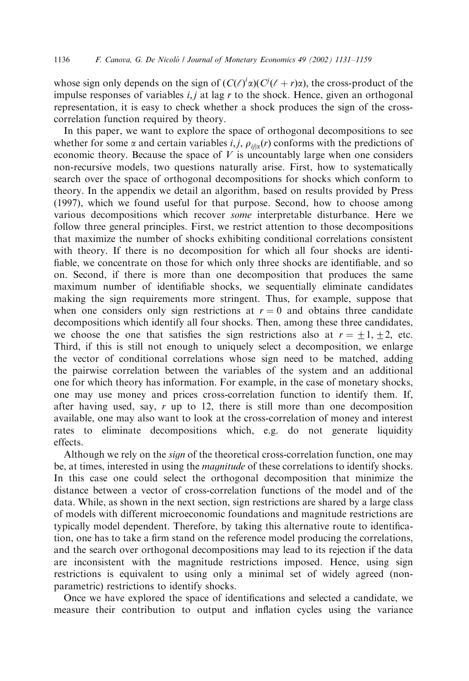whose sign only depends on the sign of  $(C(\ell)^i\alpha)(C^j(\ell + r)\alpha)$ , the cross-product of the impulse responses of variables  $i, j$  at lag r to the shock. Hence, given an orthogonal representation, it is easy to check whether a shock produces the sign of the crosscorrelation function required by theory.

In this paper, we want to explore the space of orthogonal decompositions to see whether for some  $\alpha$  and certain variables *i*, *j*,  $\rho_{ij|x}(r)$  conforms with the predictions of economic theory. Because the space of  $V$  is uncountably large when one considers non-recursive models, two questions naturally arise. First, how to systematically search over the space of orthogonal decompositions for shocks which conform to theory. In the appendix we detail an algorithm, based on results provided by Press (1997), which we found useful for that purpose. Second, how to choose among various decompositions which recover some interpretable disturbance. Here we follow three general principles. First, we restrict attention to those decompositions that maximize the number of shocks exhibiting conditional correlations consistent with theory. If there is no decomposition for which all four shocks are identifiable, we concentrate on those for which only three shocks are identifiable, and so on. Second, if there is more than one decomposition that produces the same maximum number of identifiable shocks, we sequentially eliminate candidates making the sign requirements more stringent. Thus, for example, suppose that when one considers only sign restrictions at  $r = 0$  and obtains three candidate decompositions which identify all four shocks. Then, among these three candidates, we choose the one that satisfies the sign restrictions also at  $r = +1, +2,$  etc. Third, if this is still not enough to uniquely select a decomposition, we enlarge the vector of conditional correlations whose sign need to be matched, adding the pairwise correlation between the variables of the system and an additional one for which theory has information. For example, in the case of monetary shocks, one may use money and prices cross-correlation function to identify them. If, after having used, say, r up to 12, there is still more than one decomposition available, one may also want to look at the cross-correlation of money and interest rates to eliminate decompositions which, e.g. do not generate liquidity effects.

Although we rely on the *sign* of the theoretical cross-correlation function, one may be, at times, interested in using the magnitude of these correlations to identify shocks. In this case one could select the orthogonal decomposition that minimize the distance between a vector of cross-correlation functions of the model and of the data. While, as shown in the next section, sign restrictions are shared by a large class of models with different microeconomic foundations and magnitude restrictions are typically model dependent. Therefore, by taking this alternative route to identification, one has to take a firm stand on the reference model producing the correlations, and the search over orthogonal decompositions may lead to its rejection if the data are inconsistent with the magnitude restrictions imposed. Hence, using sign restrictions is equivalent to using only a minimal set of widely agreed (nonparametric) restrictions to identify shocks.

Once we have explored the space of identifications and selected a candidate, we measure their contribution to output and inflation cycles using the variance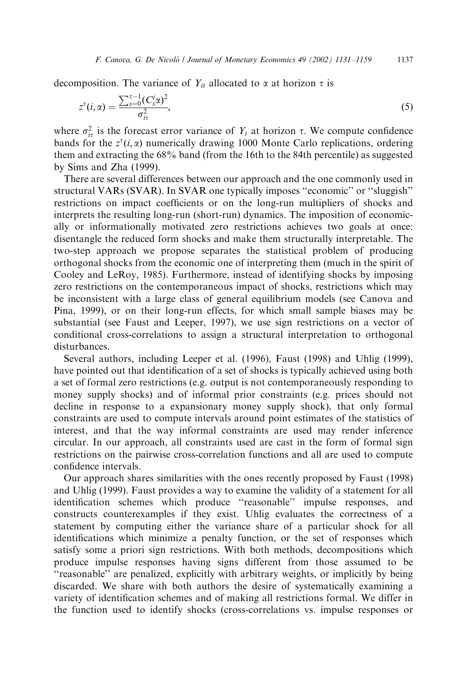decomposition. The variance of  $Y_{it}$  allocated to  $\alpha$  at horizon  $\tau$  is

$$
z^{\tau}(i,\alpha) = \frac{\sum_{s=0}^{\tau-1} (C_s^i \alpha)^2}{\sigma_{it}^2},\tag{5}
$$

where  $\sigma_{it}^2$  is the forecast error variance of  $Y_i$  at horizon  $\tau$ . We compute confidence bands for the  $z^{\tau}(i, \alpha)$  numerically drawing 1000 Monte Carlo replications, ordering them and extracting the 68% band (from the 16th to the 84th percentile) as suggested by Sims and Zha (1999).

There are several differences between our approach and the one commonly used in structural VARs (SVAR). In SVAR one typically imposes ''economic'' or ''sluggish'' restrictions on impact coefficients or on the long-run multipliers of shocks and interprets the resulting long-run (short-run) dynamics. The imposition of economically or informationally motivated zero restrictions achieves two goals at once: disentangle the reduced form shocks and make them structurally interpretable. The two-step approach we propose separates the statistical problem of producing orthogonal shocks from the economic one of interpreting them (much in the spirit of Cooley and LeRoy, 1985). Furthermore, instead of identifying shocks by imposing zero restrictions on the contemporaneous impact of shocks, restrictions which may be inconsistent with a large class of general equilibrium models (see Canova and Pina, 1999), or on their long-run effects, for which small sample biases may be substantial (see Faust and Leeper, 1997), we use sign restrictions on a vector of conditional cross-correlations to assign a structural interpretation to orthogonal disturbances.

Several authors, including Leeper et al. (1996), Faust (1998) and Uhlig (1999), have pointed out that identification of a set of shocks is typically achieved using both a set of formal zero restrictions (e.g. output is not contemporaneously responding to money supply shocks) and of informal prior constraints (e.g. prices should not decline in response to a expansionary money supply shock), that only formal constraints are used to compute intervals around point estimates of the statistics of interest, and that the way informal constraints are used may render inference circular. In our approach, all constraints used are cast in the form of formal sign restrictions on the pairwise cross-correlation functions and all are used to compute confidence intervals.

Our approach shares similarities with the ones recently proposed by Faust (1998) and Uhlig (1999). Faust provides a way to examine the validity of a statement for all identification schemes which produce ''reasonable'' impulse responses, and constructs counterexamples if they exist. Uhlig evaluates the correctness of a statement by computing either the variance share of a particular shock for all identifications which minimize a penalty function, or the set of responses which satisfy some a priori sign restrictions. With both methods, decompositions which produce impulse responses having signs different from those assumed to be ''reasonable'' are penalized, explicitly with arbitrary weights, or implicitly by being discarded. We share with both authors the desire of systematically examining a variety of identification schemes and of making all restrictions formal. We differ in the function used to identify shocks (cross-correlations vs. impulse responses or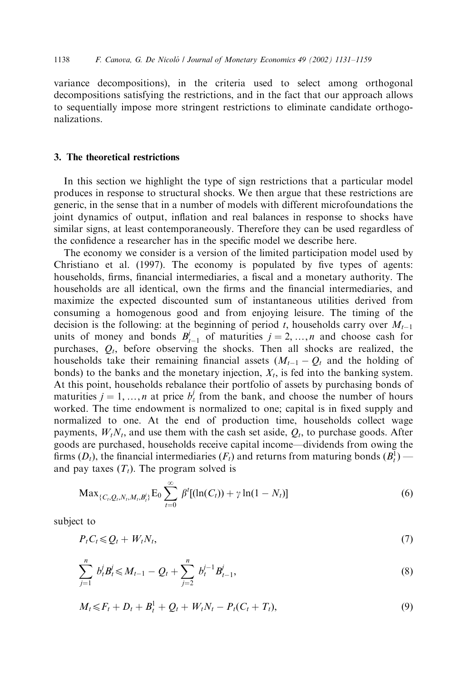variance decompositions), in the criteria used to select among orthogonal decompositions satisfying the restrictions, and in the fact that our approach allows to sequentially impose more stringent restrictions to eliminate candidate orthogonalizations.

# 3. The theoretical restrictions

In this section we highlight the type of sign restrictions that a particular model produces in response to structural shocks. We then argue that these restrictions are generic, in the sense that in a number of models with different microfoundations the joint dynamics of output, inflation and real balances in response to shocks have similar signs, at least contemporaneously. Therefore they can be used regardless of the confidence a researcher has in the specific model we describe here.

The economy we consider is a version of the limited participation model used by Christiano et al. (1997). The economy is populated by five types of agents: households, firms, financial intermediaries, a fiscal and a monetary authority. The households are all identical, own the firms and the financial intermediaries, and maximize the expected discounted sum of instantaneous utilities derived from consuming a homogenous good and from enjoying leisure. The timing of the decision is the following: at the beginning of period t, households carry over  $M_{t-1}$ units of money and bonds  $B_{t-1}^j$  of maturities  $j = 2, ..., n$  and choose cash for purchases,  $Q_t$ , before observing the shocks. Then all shocks are realized, the households take their remaining financial assets  $(M_{t-1} - Q_t)$  and the holding of bonds) to the banks and the monetary injection,  $X_t$ , is fed into the banking system. At this point, households rebalance their portfolio of assets by purchasing bonds of maturities  $j = 1, ..., n$  at price  $b<sub>t</sub><sup>j</sup>$  from the bank, and choose the number of hours worked. The time endowment is normalized to one; capital is in fixed supply and normalized to one. At the end of production time, households collect wage payments,  $W_tN_t$ , and use them with the cash set aside,  $Q_t$ , to purchase goods. After goods are purchased, households receive capital income—dividends from owing the firms  $(D_t)$ , the financial intermediaries  $(F_t)$  and returns from maturing bonds  $(B_t^1)$ and pay taxes  $(T_t)$ . The program solved is

$$
\text{Max}_{\{C_t, Q_t, N_t, M_t, B_t^j\}} \mathcal{E}_0 \sum_{t=0}^{\infty} \beta^t [(\ln(C_t)) + \gamma \ln(1 - N_t)] \tag{6}
$$

subject to

$$
P_t C_t \leq Q_t + W_t N_t, \tag{7}
$$

$$
\sum_{j=1}^{n} b_{t}^{j} B_{t}^{j} \leq M_{t-1} - Q_{t} + \sum_{j=2}^{n} b_{t}^{j-1} B_{t-1}^{j},
$$
\n(8)

$$
M_t \leq F_t + D_t + B_t^1 + Q_t + W_t N_t - P_t (C_t + T_t),
$$
\n(9)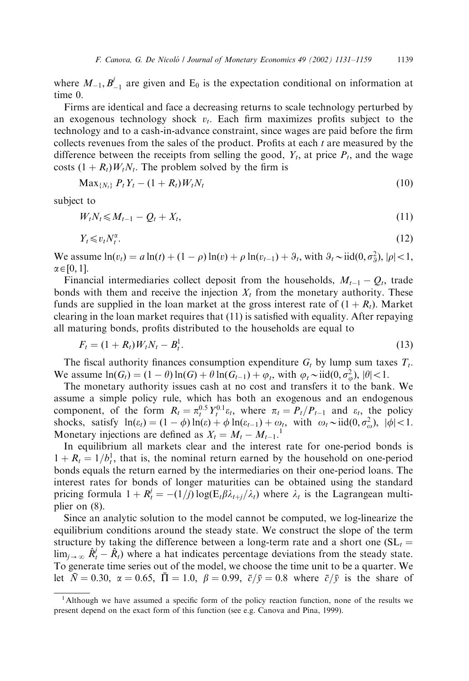where  $M_{-1}, B_{-1}^{j}$  are given and  $E_0$  is the expectation conditional on information at time 0.

Firms are identical and face a decreasing returns to scale technology perturbed by an exogenous technology shock  $v_t$ . Each firm maximizes profits subject to the technology and to a cash-in-advance constraint, since wages are paid before the firm collects revenues from the sales of the product. Profits at each  $t$  are measured by the difference between the receipts from selling the good,  $Y_t$ , at price  $P_t$ , and the wage costs  $(1 + R_t)W_tN_t$ . The problem solved by the firm is

$$
\text{Max}_{\{N_t\}} P_t Y_t - (1 + R_t) W_t N_t \tag{10}
$$

subject to

$$
W_t N_t \leqslant M_{t-1} - Q_t + X_t, \tag{11}
$$

$$
Y_t \leqslant v_t N_t^{\alpha}.\tag{12}
$$

We assume  $ln(v_t) = a ln(t) + (1 - \rho) ln(v) + \rho ln(v_{t-1}) + \vartheta_t$ , with  $\vartheta_t \sim$  iid $(0, \sigma_\vartheta^2)$ ,  $|\rho| < 1$ ,  $\alpha \in [0, 1]$ .

Financial intermediaries collect deposit from the households,  $M_{t-1} - Q_t$ , trade bonds with them and receive the injection  $X_t$  from the monetary authority. These funds are supplied in the loan market at the gross interest rate of  $(1 + R_t)$ . Market clearing in the loan market requires that (11) is satisfied with equality. After repaying all maturing bonds, profits distributed to the households are equal to

$$
F_t = (1 + R_t)W_t N_t - B_t^1. \tag{13}
$$

The fiscal authority finances consumption expenditure  $G_t$  by lump sum taxes  $T_t$ . We assume  $ln(G_t) = (1 - \theta) ln(G) + \theta ln(G_{t-1}) + \varphi_t$ , with  $\varphi_t \sim lid(0, \sigma_\varphi^2)$ ,  $|\theta| < 1$ .

The monetary authority issues cash at no cost and transfers it to the bank. We assume a simple policy rule, which has both an exogenous and an endogenous component, of the form  $R_t = \pi_t^{0.5} Y_t^{0.1} \varepsilon_t$ , where  $\pi_t = P_t/P_{t-1}$  and  $\varepsilon_t$ , the policy shocks, satisfy  $\ln(\varepsilon_t) = (1 - \phi) \ln(\varepsilon) + \phi \ln(\varepsilon_{t-1}) + \omega_t$ , with  $\omega_t \sim \text{iid}(0, \sigma_\omega^2)$ ,  $|\phi| < 1$ . Monetary injections are defined as  $X_t = M_t - M_{t-1}$ <sup>1</sup>

In equilibrium all markets clear and the interest rate for one-period bonds is  $1 + R_t = 1/b_t^1$ , that is, the nominal return earned by the household on one-period bonds equals the return earned by the intermediaries on their one-period loans. The interest rates for bonds of longer maturities can be obtained using the standard pricing formula  $1 + R_t^j = -(1/j) \log(E_t \beta \lambda_{t+j}/\lambda_t)$  where  $\lambda_t$  is the Lagrangean multiplier on (8).

Since an analytic solution to the model cannot be computed, we log-linearize the equilibrium conditions around the steady state. We construct the slope of the term structure by taking the difference between a long-term rate and a short one  $SL_t$  $\lim_{j\to\infty} \hat{R}_t^j - \hat{R}_t$  where a hat indicates percentage deviations from the steady state. To generate time series out of the model, we choose the time unit to be a quarter. We let  $\overline{N} = 0.30$ ,  $\alpha = 0.65$ ,  $\overline{\Pi} = 1.0$ ,  $\beta = 0.99$ ,  $\overline{c}/\overline{y} = 0.8$  where  $\overline{c}/\overline{y}$  is the share of

<sup>&</sup>lt;sup>1</sup>Although we have assumed a specific form of the policy reaction function, none of the results we present depend on the exact form of this function (see e.g. Canova and Pina, 1999).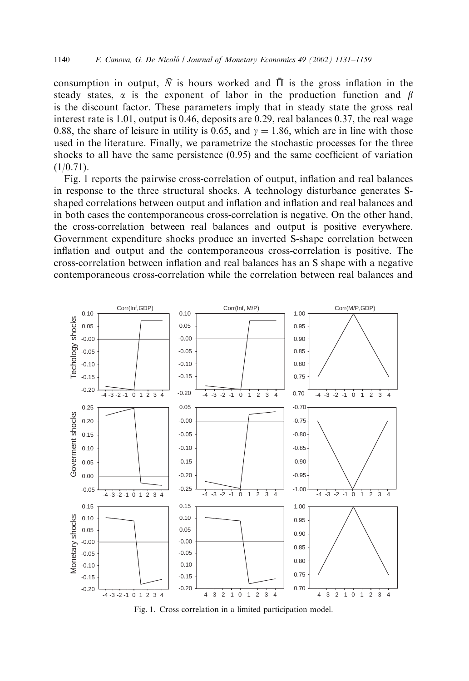consumption in output,  $\overline{N}$  is hours worked and  $\overline{\Pi}$  is the gross inflation in the steady states,  $\alpha$  is the exponent of labor in the production function and  $\beta$ is the discount factor. These parameters imply that in steady state the gross real interest rate is 1.01, output is 0.46, deposits are 0.29, real balances 0.37, the real wage 0.88, the share of leisure in utility is 0.65, and  $\gamma = 1.86$ , which are in line with those used in the literature. Finally, we parametrize the stochastic processes for the three shocks to all have the same persistence (0.95) and the same coefficient of variation  $(1/0.71)$ .

Fig. 1 reports the pairwise cross-correlation of output, inflation and real balances in response to the three structural shocks. A technology disturbance generates Sshaped correlations between output and inflation and inflation and real balances and in both cases the contemporaneous cross-correlation is negative. On the other hand, the cross-correlation between real balances and output is positive everywhere. Government expenditure shocks produce an inverted S-shape correlation between inflation and output and the contemporaneous cross-correlation is positive. The cross-correlation between inflation and real balances has an S shape with a negative contemporaneous cross-correlation while the correlation between real balances and



Fig. 1. Cross correlation in a limited participation model.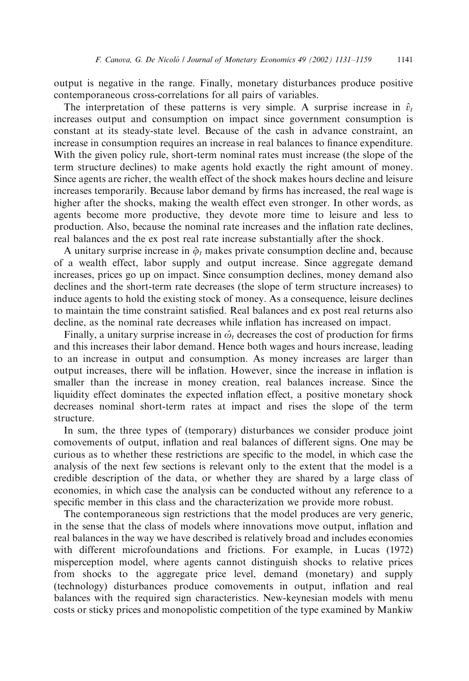output is negative in the range. Finally, monetary disturbances produce positive contemporaneous cross-correlations for all pairs of variables.

The interpretation of these patterns is very simple. A surprise increase in  $\hat{v}_t$ increases output and consumption on impact since government consumption is constant at its steady-state level. Because of the cash in advance constraint, an increase in consumption requires an increase in real balances to finance expenditure. With the given policy rule, short-term nominal rates must increase (the slope of the term structure declines) to make agents hold exactly the right amount of money. Since agents are richer, the wealth effect of the shock makes hours decline and leisure increases temporarily. Because labor demand by firms has increased, the real wage is higher after the shocks, making the wealth effect even stronger. In other words, as agents become more productive, they devote more time to leisure and less to production. Also, because the nominal rate increases and the inflation rate declines, real balances and the ex post real rate increase substantially after the shock.

A unitary surprise increase in  $\hat{\varphi}_t$  makes private consumption decline and, because of a wealth effect, labor supply and output increase. Since aggregate demand increases, prices go up on impact. Since consumption declines, money demand also declines and the short-term rate decreases (the slope of term structure increases) to induce agents to hold the existing stock of money. As a consequence, leisure declines to maintain the time constraint satisfied. Real balances and ex post real returns also decline, as the nominal rate decreases while inflation has increased on impact.

Finally, a unitary surprise increase in  $\hat{\omega}_t$  decreases the cost of production for firms and this increases their labor demand. Hence both wages and hours increase, leading to an increase in output and consumption. As money increases are larger than output increases, there will be inflation. However, since the increase in inflation is smaller than the increase in money creation, real balances increase. Since the liquidity effect dominates the expected inflation effect, a positive monetary shock decreases nominal short-term rates at impact and rises the slope of the term structure.

In sum, the three types of (temporary) disturbances we consider produce joint comovements of output, inflation and real balances of different signs. One may be curious as to whether these restrictions are specific to the model, in which case the analysis of the next few sections is relevant only to the extent that the model is a credible description of the data, or whether they are shared by a large class of economies, in which case the analysis can be conducted without any reference to a specific member in this class and the characterization we provide more robust.

The contemporaneous sign restrictions that the model produces are very generic, in the sense that the class of models where innovations move output, inflation and real balances in the way we have described is relatively broad and includes economies with different microfoundations and frictions. For example, in Lucas (1972) misperception model, where agents cannot distinguish shocks to relative prices from shocks to the aggregate price level, demand (monetary) and supply (technology) disturbances produce comovements in output, inflation and real balances with the required sign characteristics. New-keynesian models with menu costs or sticky prices and monopolistic competition of the type examined by Mankiw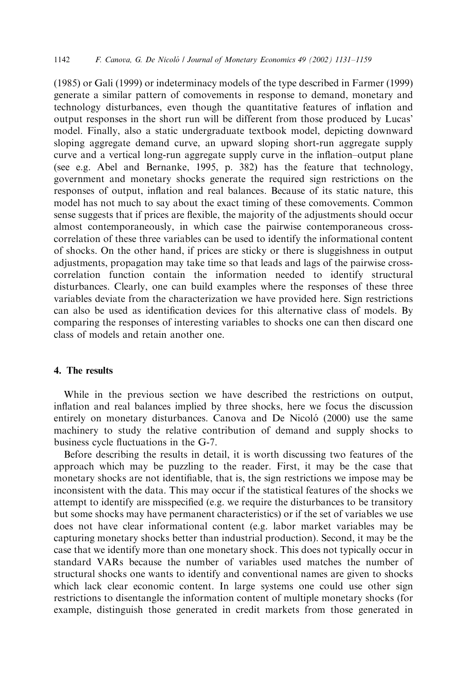(1985) or Gali (1999) or indeterminacy models of the type described in Farmer (1999) generate a similar pattern of comovements in response to demand, monetary and technology disturbances, even though the quantitative features of inflation and output responses in the short run will be different from those produced by Lucas' model. Finally, also a static undergraduate textbook model, depicting downward sloping aggregate demand curve, an upward sloping short-run aggregate supply curve and a vertical long-run aggregate supply curve in the inflation–output plane (see e.g. Abel and Bernanke, 1995, p. 382) has the feature that technology, government and monetary shocks generate the required sign restrictions on the responses of output, inflation and real balances. Because of its static nature, this model has not much to say about the exact timing of these comovements. Common sense suggests that if prices are flexible, the majority of the adjustments should occur almost contemporaneously, in which case the pairwise contemporaneous crosscorrelation of these three variables can be used to identify the informational content of shocks. On the other hand, if prices are sticky or there is sluggishness in output adjustments, propagation may take time so that leads and lags of the pairwise crosscorrelation function contain the information needed to identify structural disturbances. Clearly, one can build examples where the responses of these three variables deviate from the characterization we have provided here. Sign restrictions can also be used as identification devices for this alternative class of models. By comparing the responses of interesting variables to shocks one can then discard one class of models and retain another one.

# 4. The results

While in the previous section we have described the restrictions on output, inflation and real balances implied by three shocks, here we focus the discussion entirely on monetary disturbances. Canova and De Nicoló (2000) use the same machinery to study the relative contribution of demand and supply shocks to business cycle fluctuations in the G-7.

Before describing the results in detail, it is worth discussing two features of the approach which may be puzzling to the reader. First, it may be the case that monetary shocks are not identifiable, that is, the sign restrictions we impose may be inconsistent with the data. This may occur if the statistical features of the shocks we attempt to identify are misspecified (e.g. we require the disturbances to be transitory but some shocks may have permanent characteristics) or if the set of variables we use does not have clear informational content (e.g. labor market variables may be capturing monetary shocks better than industrial production). Second, it may be the case that we identify more than one monetary shock. This does not typically occur in standard VARs because the number of variables used matches the number of structural shocks one wants to identify and conventional names are given to shocks which lack clear economic content. In large systems one could use other sign restrictions to disentangle the information content of multiple monetary shocks (for example, distinguish those generated in credit markets from those generated in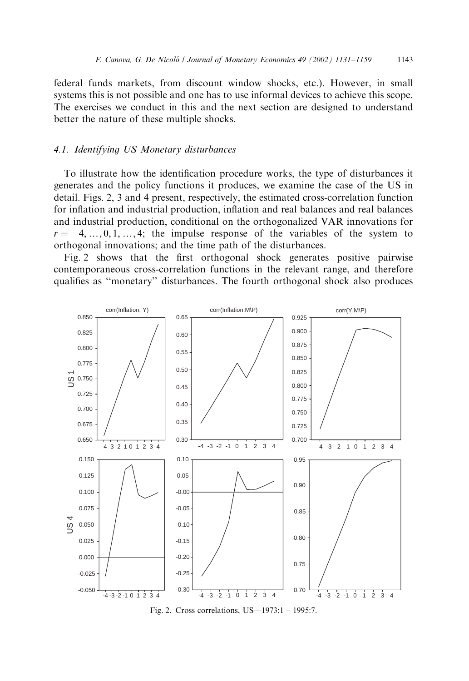federal funds markets, from discount window shocks, etc.). However, in small systems this is not possible and one has to use informal devices to achieve this scope. The exercises we conduct in this and the next section are designed to understand better the nature of these multiple shocks.

## 4.1. Identifying US Monetary disturbances

To illustrate how the identification procedure works, the type of disturbances it generates and the policy functions it produces, we examine the case of the US in detail. Figs. 2, 3 and 4 present, respectively, the estimated cross-correlation function for inflation and industrial production, inflation and real balances and real balances and industrial production, conditional on the orthogonalized VAR innovations for  $r = -4, ..., 0, 1, ..., 4$ ; the impulse response of the variables of the system to orthogonal innovations; and the time path of the disturbances.

Fig. 2 shows that the first orthogonal shock generates positive pairwise contemporaneous cross-correlation functions in the relevant range, and therefore qualifies as ''monetary'' disturbances. The fourth orthogonal shock also produces



Fig. 2. Cross correlations, US—1973:1 – 1995:7.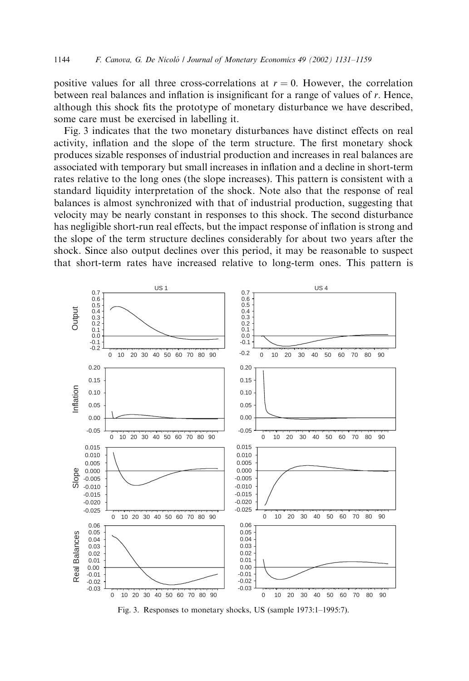positive values for all three cross-correlations at  $r = 0$ . However, the correlation between real balances and inflation is insignificant for a range of values of r. Hence, although this shock fits the prototype of monetary disturbance we have described, some care must be exercised in labelling it.

Fig. 3 indicates that the two monetary disturbances have distinct effects on real activity, inflation and the slope of the term structure. The first monetary shock produces sizable responses of industrial production and increases in real balances are associated with temporary but small increases in inflation and a decline in short-term rates relative to the long ones (the slope increases). This pattern is consistent with a standard liquidity interpretation of the shock. Note also that the response of real balances is almost synchronized with that of industrial production, suggesting that velocity may be nearly constant in responses to this shock. The second disturbance has negligible short-run real effects, but the impact response of inflation is strong and the slope of the term structure declines considerably for about two years after the shock. Since also output declines over this period, it may be reasonable to suspect that short-term rates have increased relative to long-term ones. This pattern is



Fig. 3. Responses to monetary shocks, US (sample 1973:1–1995:7).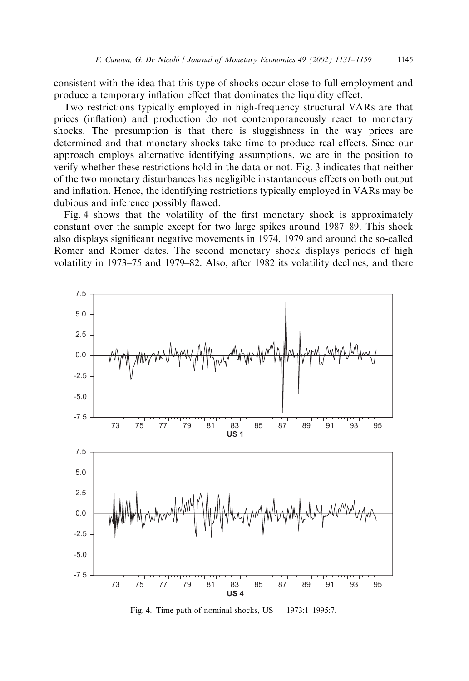consistent with the idea that this type of shocks occur close to full employment and produce a temporary inflation effect that dominates the liquidity effect.

Two restrictions typically employed in high-frequency structural VARs are that prices (inflation) and production do not contemporaneously react to monetary shocks. The presumption is that there is sluggishness in the way prices are determined and that monetary shocks take time to produce real effects. Since our approach employs alternative identifying assumptions, we are in the position to verify whether these restrictions hold in the data or not. Fig. 3 indicates that neither of the two monetary disturbances has negligible instantaneous effects on both output and inflation. Hence, the identifying restrictions typically employed in VARs may be dubious and inference possibly flawed.

Fig. 4 shows that the volatility of the first monetary shock is approximately constant over the sample except for two large spikes around 1987–89. This shock also displays significant negative movements in 1974, 1979 and around the so-called Romer and Romer dates. The second monetary shock displays periods of high volatility in 1973–75 and 1979–82. Also, after 1982 its volatility declines, and there



Fig. 4. Time path of nominal shocks,  $US - 1973:1-1995:7$ .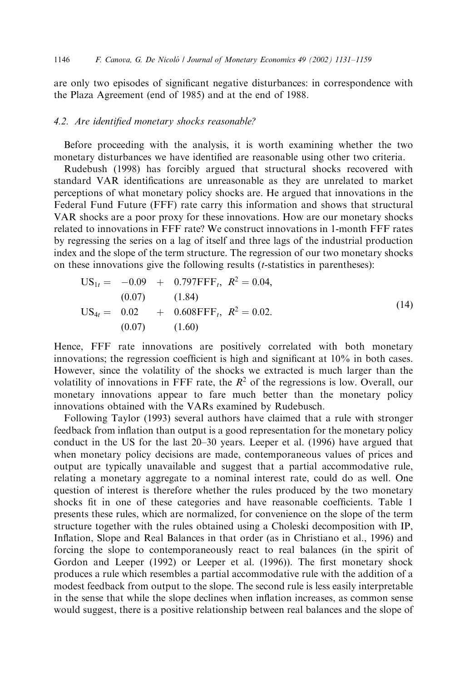are only two episodes of significant negative disturbances: in correspondence with the Plaza Agreement (end of 1985) and at the end of 1988.

## 4.2. Are identified monetary shocks reasonable?

Before proceeding with the analysis, it is worth examining whether the two monetary disturbances we have identified are reasonable using other two criteria.

Rudebush (1998) has forcibly argued that structural shocks recovered with standard VAR identifications are unreasonable as they are unrelated to market perceptions of what monetary policy shocks are. He argued that innovations in the Federal Fund Future (FFF) rate carry this information and shows that structural VAR shocks are a poor proxy for these innovations. How are our monetary shocks related to innovations in FFF rate? We construct innovations in 1-month FFF rates by regressing the series on a lag of itself and three lags of the industrial production index and the slope of the term structure. The regression of our two monetary shocks on these innovations give the following results (t-statistics in parentheses):

$$
US_{1t} = -0.09 + 0.797 FFF_t, R^2 = 0.04,(0.07) (1.84)
$$
US_{4t} = 0.02 + 0.608 FFF_t, R^2 = 0.02.
$$
(14)  
(0.07) (1.60)
$$

Hence, FFF rate innovations are positively correlated with both monetary innovations; the regression coefficient is high and significant at 10% in both cases. However, since the volatility of the shocks we extracted is much larger than the volatility of innovations in FFF rate, the  $R^2$  of the regressions is low. Overall, our monetary innovations appear to fare much better than the monetary policy innovations obtained with the VARs examined by Rudebusch.

Following Taylor (1993) several authors have claimed that a rule with stronger feedback from inflation than output is a good representation for the monetary policy conduct in the US for the last 20–30 years. Leeper et al. (1996) have argued that when monetary policy decisions are made, contemporaneous values of prices and output are typically unavailable and suggest that a partial accommodative rule, relating a monetary aggregate to a nominal interest rate, could do as well. One question of interest is therefore whether the rules produced by the two monetary shocks fit in one of these categories and have reasonable coefficients. Table 1 presents these rules, which are normalized, for convenience on the slope of the term structure together with the rules obtained using a Choleski decomposition with IP, Inflation, Slope and Real Balances in that order (as in Christiano et al., 1996) and forcing the slope to contemporaneously react to real balances (in the spirit of Gordon and Leeper (1992) or Leeper et al. (1996)). The first monetary shock produces a rule which resembles a partial accommodative rule with the addition of a modest feedback from output to the slope. The second rule is less easily interpretable in the sense that while the slope declines when inflation increases, as common sense would suggest, there is a positive relationship between real balances and the slope of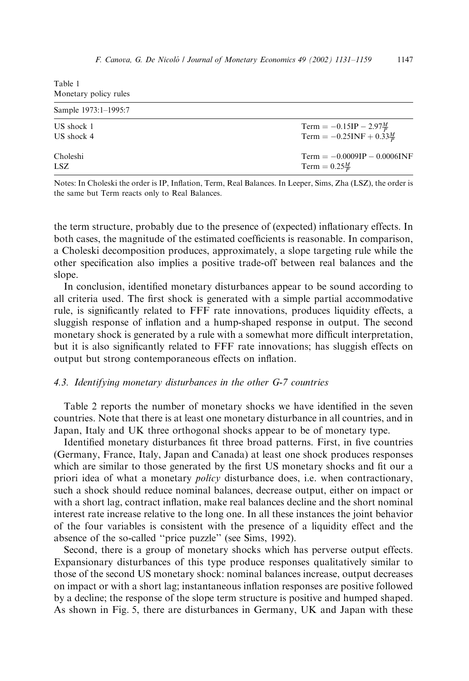| Table 1               |  |
|-----------------------|--|
| Monetary policy rules |  |

| Sample 1973:1-1995:7 |                                                   |
|----------------------|---------------------------------------------------|
| US shock 1           | Term = $-0.15IP - 2.97\frac{M}{P}$                |
| US shock 4           | Term = $-0.25$ INF + $0.\overline{33\frac{M}{R}}$ |
| Choleshi             | $Term = -0.0009IP - 0.0006INF$                    |
| LSZ.                 | Term = $0.25\frac{M}{R}$                          |

Notes: In Choleski the order is IP, Inflation, Term, Real Balances. In Leeper, Sims, Zha (LSZ), the order is the same but Term reacts only to Real Balances.

the term structure, probably due to the presence of (expected) inflationary effects. In both cases, the magnitude of the estimated coefficients is reasonable. In comparison, a Choleski decomposition produces, approximately, a slope targeting rule while the other specification also implies a positive trade-off between real balances and the slope.

In conclusion, identified monetary disturbances appear to be sound according to all criteria used. The first shock is generated with a simple partial accommodative rule, is significantly related to FFF rate innovations, produces liquidity effects, a sluggish response of inflation and a hump-shaped response in output. The second monetary shock is generated by a rule with a somewhat more difficult interpretation, but it is also significantly related to FFF rate innovations; has sluggish effects on output but strong contemporaneous effects on inflation.

# 4.3. Identifying monetary disturbances in the other G-7 countries

Table 2 reports the number of monetary shocks we have identified in the seven countries. Note that there is at least one monetary disturbance in all countries, and in Japan, Italy and UK three orthogonal shocks appear to be of monetary type.

Identified monetary disturbances fit three broad patterns. First, in five countries (Germany, France, Italy, Japan and Canada) at least one shock produces responses which are similar to those generated by the first US monetary shocks and fit our a priori idea of what a monetary policy disturbance does, i.e. when contractionary, such a shock should reduce nominal balances, decrease output, either on impact or with a short lag, contract inflation, make real balances decline and the short nominal interest rate increase relative to the long one. In all these instances the joint behavior of the four variables is consistent with the presence of a liquidity effect and the absence of the so-called ''price puzzle'' (see Sims, 1992).

Second, there is a group of monetary shocks which has perverse output effects. Expansionary disturbances of this type produce responses qualitatively similar to those of the second US monetary shock: nominal balances increase, output decreases on impact or with a short lag; instantaneous inflation responses are positive followed by a decline; the response of the slope term structure is positive and humped shaped. As shown in Fig. 5, there are disturbances in Germany, UK and Japan with these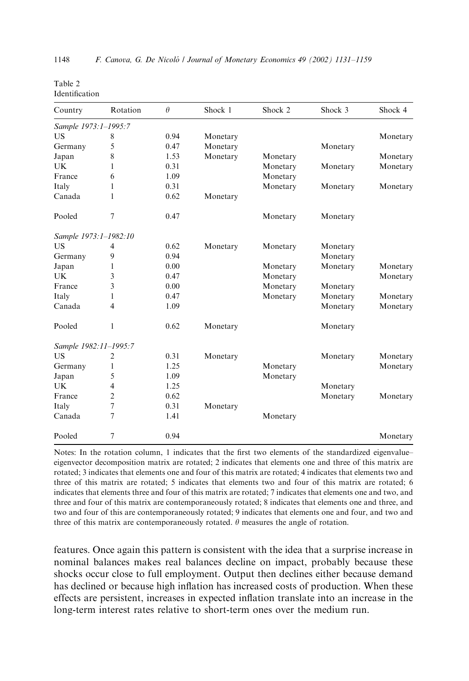| Table 2        |
|----------------|
| Identification |

| Country               | Rotation       | $\theta$ | Shock 1  | Shock 2  | Shock 3  | Shock 4  |
|-----------------------|----------------|----------|----------|----------|----------|----------|
| Sample 1973:1-1995:7  |                |          |          |          |          |          |
| US                    | 8              | 0.94     | Monetary |          |          | Monetary |
| Germany               | 5              | 0.47     | Monetary |          | Monetary |          |
| Japan                 | 8              | 1.53     | Monetary | Monetary |          | Monetary |
| UK                    | 1              | 0.31     |          | Monetary | Monetary | Monetary |
| France                | 6              | 1.09     |          | Monetary |          |          |
| Italy                 | $\mathbf{1}$   | 0.31     |          | Monetary | Monetary | Monetary |
| Canada                | 1              | 0.62     | Monetary |          |          |          |
| Pooled                | 7              | 0.47     |          | Monetary | Monetary |          |
| Sample 1973:1-1982:10 |                |          |          |          |          |          |
| US                    | $\overline{4}$ | 0.62     | Monetary | Monetary | Monetary |          |
| Germany               | 9              | 0.94     |          |          | Monetary |          |
| Japan                 | 1              | 0.00     |          | Monetary | Monetary | Monetary |
| UK                    | 3              | 0.47     |          | Monetary |          | Monetary |
| France                | 3              | 0.00     |          | Monetary | Monetary |          |
| Italy                 | 1              | 0.47     |          | Monetary | Monetary | Monetary |
| Canada                | 4              | 1.09     |          |          | Monetary | Monetary |
| Pooled                | 1              | 0.62     | Monetary |          | Monetary |          |
| Sample 1982:11-1995:7 |                |          |          |          |          |          |
| US                    | 2              | 0.31     | Monetary |          | Monetary | Monetary |
| Germany               | 1              | 1.25     |          | Monetary |          | Monetary |
| Japan                 | 5              | 1.09     |          | Monetary |          |          |
| <b>UK</b>             | 4              | 1.25     |          |          | Monetary |          |
| France                | 2              | 0.62     |          |          | Monetary | Monetary |
| Italy                 | 7              | 0.31     | Monetary |          |          |          |
| Canada                | 7              | 1.41     |          | Monetary |          |          |
| Pooled                | 7              | 0.94     |          |          |          | Monetary |

Notes: In the rotation column, 1 indicates that the first two elements of the standardized eigenvalue– eigenvector decomposition matrix are rotated; 2 indicates that elements one and three of this matrix are rotated; 3 indicates that elements one and four of this matrix are rotated; 4 indicates that elements two and three of this matrix are rotated; 5 indicates that elements two and four of this matrix are rotated; 6 indicates that elements three and four of this matrix are rotated; 7 indicates that elements one and two, and three and four of this matrix are contemporaneously rotated; 8 indicates that elements one and three, and two and four of this are contemporaneously rotated; 9 indicates that elements one and four, and two and three of this matrix are contemporaneously rotated.  $\theta$  measures the angle of rotation.

features. Once again this pattern is consistent with the idea that a surprise increase in nominal balances makes real balances decline on impact, probably because these shocks occur close to full employment. Output then declines either because demand has declined or because high inflation has increased costs of production. When these effects are persistent, increases in expected inflation translate into an increase in the long-term interest rates relative to short-term ones over the medium run.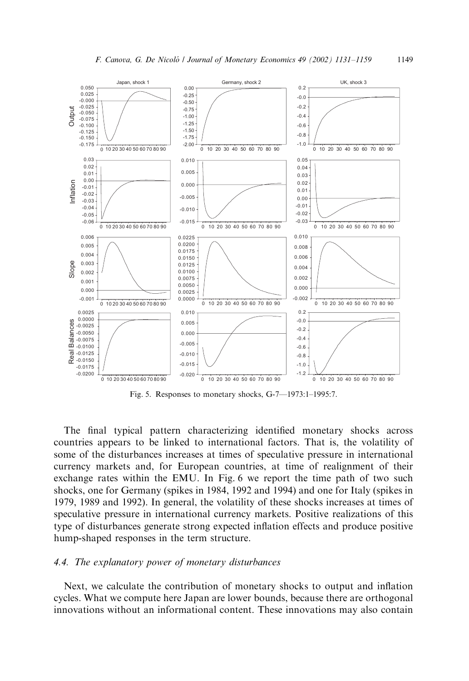

Fig. 5. Responses to monetary shocks, G-7—1973:1–1995:7.

The final typical pattern characterizing identified monetary shocks across countries appears to be linked to international factors. That is, the volatility of some of the disturbances increases at times of speculative pressure in international currency markets and, for European countries, at time of realignment of their exchange rates within the EMU. In Fig. 6 we report the time path of two such shocks, one for Germany (spikes in 1984, 1992 and 1994) and one for Italy (spikes in 1979, 1989 and 1992). In general, the volatility of these shocks increases at times of speculative pressure in international currency markets. Positive realizations of this type of disturbances generate strong expected inflation effects and produce positive hump-shaped responses in the term structure.

# 4.4. The explanatory power of monetary disturbances

Next, we calculate the contribution of monetary shocks to output and inflation cycles. What we compute here Japan are lower bounds, because there are orthogonal innovations without an informational content. These innovations may also contain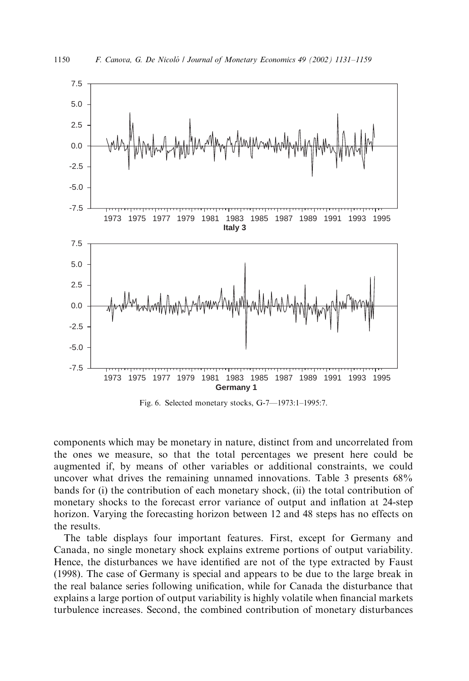

Fig. 6. Selected monetary stocks, G-7—1973:1–1995:7.

components which may be monetary in nature, distinct from and uncorrelated from the ones we measure, so that the total percentages we present here could be augmented if, by means of other variables or additional constraints, we could uncover what drives the remaining unnamed innovations. Table 3 presents 68% bands for (i) the contribution of each monetary shock, (ii) the total contribution of monetary shocks to the forecast error variance of output and inflation at 24-step horizon. Varying the forecasting horizon between 12 and 48 steps has no effects on the results.

The table displays four important features. First, except for Germany and Canada, no single monetary shock explains extreme portions of output variability. Hence, the disturbances we have identified are not of the type extracted by Faust (1998). The case of Germany is special and appears to be due to the large break in the real balance series following unification, while for Canada the disturbance that explains a large portion of output variability is highly volatile when financial markets turbulence increases. Second, the combined contribution of monetary disturbances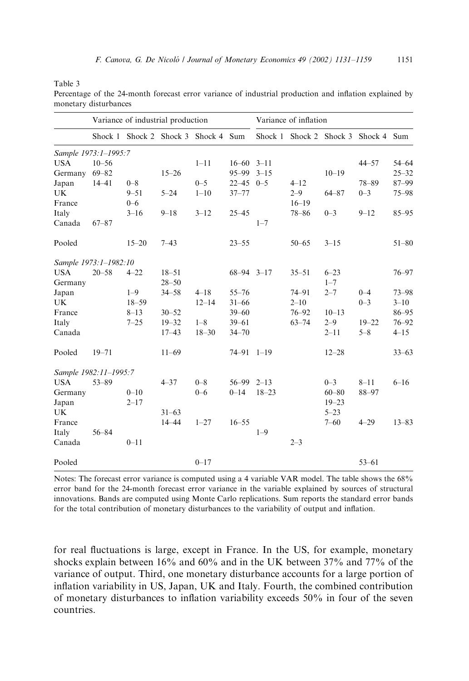Table 3

Percentage of the 24-month forecast error variance of industrial production and inflation explained by monetary disturbances

|                       | Variance of industrial production |                                     |           |           | Variance of inflation |           |                                     |           |           |           |
|-----------------------|-----------------------------------|-------------------------------------|-----------|-----------|-----------------------|-----------|-------------------------------------|-----------|-----------|-----------|
|                       |                                   | Shock 1 Shock 2 Shock 3 Shock 4 Sum |           |           |                       |           | Shock 1 Shock 2 Shock 3 Shock 4 Sum |           |           |           |
| Sample 1973:1-1995:7  |                                   |                                     |           |           |                       |           |                                     |           |           |           |
| <b>USA</b>            | $10 - 56$                         |                                     |           | $1 - 11$  | $16 - 60$             | $3 - 11$  |                                     |           | $44 - 57$ | $54 - 64$ |
| Germany               | $69 - 82$                         |                                     | $15 - 26$ |           | $95 - 99$             | $3 - 15$  |                                     | $10 - 19$ |           | $25 - 32$ |
| Japan                 | $14 - 41$                         | $0 - 8$                             |           | $0 - 5$   | $22 - 45$ 0 - 5       |           | $4 - 12$                            |           | $78 - 89$ | $87 - 99$ |
| <b>UK</b>             |                                   | $9 - 51$                            | $5 - 24$  | $1 - 10$  | $37 - 77$             |           | $2 - 9$                             | $64 - 87$ | $0 - 3$   | $75 - 98$ |
| France                |                                   | $0 - 6$                             |           |           |                       |           | $16 - 19$                           |           |           |           |
| Italy                 |                                   | $3 - 16$                            | $9 - 18$  | $3 - 12$  | $25 - 45$             |           | $78 - 86$                           | $0 - 3$   | $9 - 12$  | $85 - 95$ |
| Canada                | $67 - 87$                         |                                     |           |           |                       | $1 - 7$   |                                     |           |           |           |
| Pooled                |                                   | $15 - 20$                           | $7 - 43$  |           | $23 - 55$             |           | $50 - 65$                           | $3 - 15$  |           | $51 - 80$ |
| Sample 1973:1-1982:10 |                                   |                                     |           |           |                       |           |                                     |           |           |           |
| <b>USA</b>            | $20 - 58$                         | $4 - 22$                            | $18 - 51$ |           | $68 - 94$ $3 - 17$    |           | $35 - 51$                           | $6 - 23$  |           | $76 - 97$ |
| Germany               |                                   |                                     | $28 - 50$ |           |                       |           |                                     | $1 - 7$   |           |           |
| Japan                 |                                   | $1 - 9$                             | $34 - 58$ | $4 - 18$  | $55 - 76$             |           | $74 - 91$                           | $2 - 7$   | $0 - 4$   | $73 - 98$ |
| <b>UK</b>             |                                   | $18 - 59$                           |           | $12 - 14$ | $31 - 66$             |           | $2 - 10$                            |           | $0 - 3$   | $3 - 10$  |
| France                |                                   | $8 - 13$                            | $30 - 52$ |           | $39 - 60$             |           | $76 - 92$                           | $10 - 13$ |           | $86 - 95$ |
| Italy                 |                                   | $7 - 25$                            | $19 - 32$ | $1 - 8$   | $39 - 61$             |           | $63 - 74$                           | $2 - 9$   | $19 - 22$ | $76 - 92$ |
| Canada                |                                   |                                     | $17 - 43$ | $18 - 30$ | $34 - 70$             |           |                                     | $2 - 11$  | $5 - 8$   | $4 - 15$  |
| Pooled                | $19 - 71$                         |                                     | $11 - 69$ |           | $74 - 91$ $1 - 19$    |           |                                     | $12 - 28$ |           | $33 - 63$ |
| Sample 1982:11-1995:7 |                                   |                                     |           |           |                       |           |                                     |           |           |           |
| <b>USA</b>            | $53 - 89$                         |                                     | $4 - 37$  | $0 - 8$   | $56 - 99$             | $2 - 13$  |                                     | $0 - 3$   | $8 - 11$  | $6 - 16$  |
| Germany               |                                   | $0 - 10$                            |           | $0 - 6$   | $0 - 14$              | $18 - 23$ |                                     | $60 - 80$ | 88-97     |           |
| Japan                 |                                   | $2 - 17$                            |           |           |                       |           |                                     | $19 - 23$ |           |           |
| UK                    |                                   |                                     | $31 - 63$ |           |                       |           |                                     | $5 - 23$  |           |           |
| France                |                                   |                                     | $14 - 44$ | $1 - 27$  | $16 - 55$             |           |                                     | $7 - 60$  | $4 - 29$  | $13 - 83$ |
| Italy                 | $56 - 84$                         |                                     |           |           |                       | $1 - 9$   |                                     |           |           |           |
| Canada                |                                   | $0 - 11$                            |           |           |                       |           | $2 - 3$                             |           |           |           |
| Pooled                |                                   |                                     |           | $0 - 17$  |                       |           |                                     |           | $53 - 61$ |           |

Notes: The forecast error variance is computed using a 4 variable VAR model. The table shows the 68% error band for the 24-month forecast error variance in the variable explained by sources of structural innovations. Bands are computed using Monte Carlo replications. Sum reports the standard error bands for the total contribution of monetary disturbances to the variability of output and inflation.

for real fluctuations is large, except in France. In the US, for example, monetary shocks explain between 16% and 60% and in the UK between 37% and 77% of the variance of output. Third, one monetary disturbance accounts for a large portion of inflation variability in US, Japan, UK and Italy. Fourth, the combined contribution of monetary disturbances to inflation variability exceeds 50% in four of the seven countries.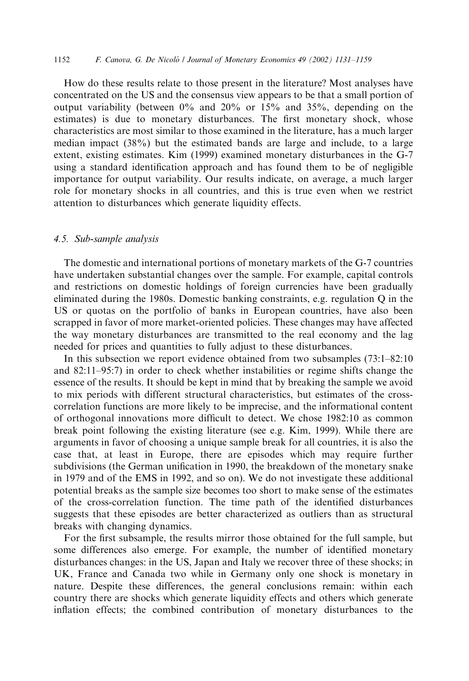## 1152 F. Canova, G. De Nicolo / Journal of Monetary Economics 49 (2002) 1131–1159 !

How do these results relate to those present in the literature? Most analyses have concentrated on the US and the consensus view appears to be that a small portion of output variability (between  $0\%$  and  $20\%$  or  $15\%$  and  $35\%$ , depending on the estimates) is due to monetary disturbances. The first monetary shock, whose characteristics are most similar to those examined in the literature, has a much larger median impact (38%) but the estimated bands are large and include, to a large extent, existing estimates. Kim (1999) examined monetary disturbances in the G-7 using a standard identification approach and has found them to be of negligible importance for output variability. Our results indicate, on average, a much larger role for monetary shocks in all countries, and this is true even when we restrict attention to disturbances which generate liquidity effects.

# 4.5. Sub-sample analysis

The domestic and international portions of monetary markets of the G-7 countries have undertaken substantial changes over the sample. For example, capital controls and restrictions on domestic holdings of foreign currencies have been gradually eliminated during the 1980s. Domestic banking constraints, e.g. regulation Q in the US or quotas on the portfolio of banks in European countries, have also been scrapped in favor of more market-oriented policies. These changes may have affected the way monetary disturbances are transmitted to the real economy and the lag needed for prices and quantities to fully adjust to these disturbances.

In this subsection we report evidence obtained from two subsamples (73:1–82:10 and 82:11–95:7) in order to check whether instabilities or regime shifts change the essence of the results. It should be kept in mind that by breaking the sample we avoid to mix periods with different structural characteristics, but estimates of the crosscorrelation functions are more likely to be imprecise, and the informational content of orthogonal innovations more difficult to detect. We chose 1982:10 as common break point following the existing literature (see e.g. Kim, 1999). While there are arguments in favor of choosing a unique sample break for all countries, it is also the case that, at least in Europe, there are episodes which may require further subdivisions (the German unification in 1990, the breakdown of the monetary snake in 1979 and of the EMS in 1992, and so on). We do not investigate these additional potential breaks as the sample size becomes too short to make sense of the estimates of the cross-correlation function. The time path of the identified disturbances suggests that these episodes are better characterized as outliers than as structural breaks with changing dynamics.

For the first subsample, the results mirror those obtained for the full sample, but some differences also emerge. For example, the number of identified monetary disturbances changes: in the US, Japan and Italy we recover three of these shocks; in UK, France and Canada two while in Germany only one shock is monetary in nature. Despite these differences, the general conclusions remain: within each country there are shocks which generate liquidity effects and others which generate inflation effects; the combined contribution of monetary disturbances to the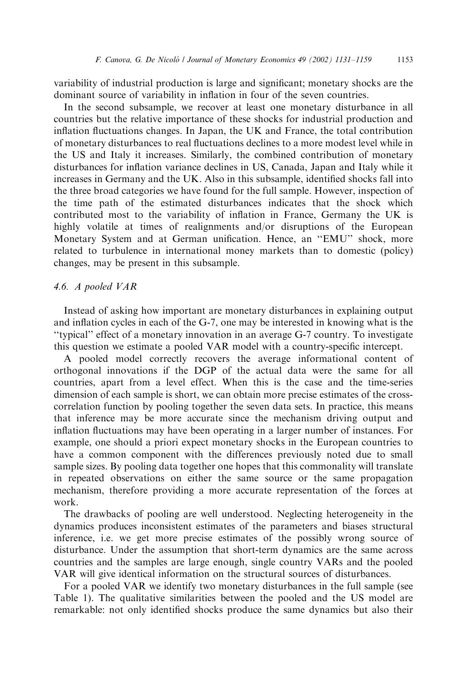variability of industrial production is large and significant; monetary shocks are the dominant source of variability in inflation in four of the seven countries.

In the second subsample, we recover at least one monetary disturbance in all countries but the relative importance of these shocks for industrial production and inflation fluctuations changes. In Japan, the UK and France, the total contribution of monetary disturbances to real fluctuations declines to a more modest level while in the US and Italy it increases. Similarly, the combined contribution of monetary disturbances for inflation variance declines in US, Canada, Japan and Italy while it increases in Germany and the UK. Also in this subsample, identified shocks fall into the three broad categories we have found for the full sample. However, inspection of the time path of the estimated disturbances indicates that the shock which contributed most to the variability of inflation in France, Germany the UK is highly volatile at times of realignments and/or disruptions of the European Monetary System and at German unification. Hence, an ''EMU'' shock, more related to turbulence in international money markets than to domestic (policy) changes, may be present in this subsample.

# 4.6. A pooled VAR

Instead of asking how important are monetary disturbances in explaining output and inflation cycles in each of the G-7, one may be interested in knowing what is the ''typical'' effect of a monetary innovation in an average G-7 country. To investigate this question we estimate a pooled VAR model with a country-specific intercept.

A pooled model correctly recovers the average informational content of orthogonal innovations if the DGP of the actual data were the same for all countries, apart from a level effect. When this is the case and the time-series dimension of each sample is short, we can obtain more precise estimates of the crosscorrelation function by pooling together the seven data sets. In practice, this means that inference may be more accurate since the mechanism driving output and inflation fluctuations may have been operating in a larger number of instances. For example, one should a priori expect monetary shocks in the European countries to have a common component with the differences previously noted due to small sample sizes. By pooling data together one hopes that this commonality will translate in repeated observations on either the same source or the same propagation mechanism, therefore providing a more accurate representation of the forces at work.

The drawbacks of pooling are well understood. Neglecting heterogeneity in the dynamics produces inconsistent estimates of the parameters and biases structural inference, i.e. we get more precise estimates of the possibly wrong source of disturbance. Under the assumption that short-term dynamics are the same across countries and the samples are large enough, single country VARs and the pooled VAR will give identical information on the structural sources of disturbances.

For a pooled VAR we identify two monetary disturbances in the full sample (see Table 1). The qualitative similarities between the pooled and the US model are remarkable: not only identified shocks produce the same dynamics but also their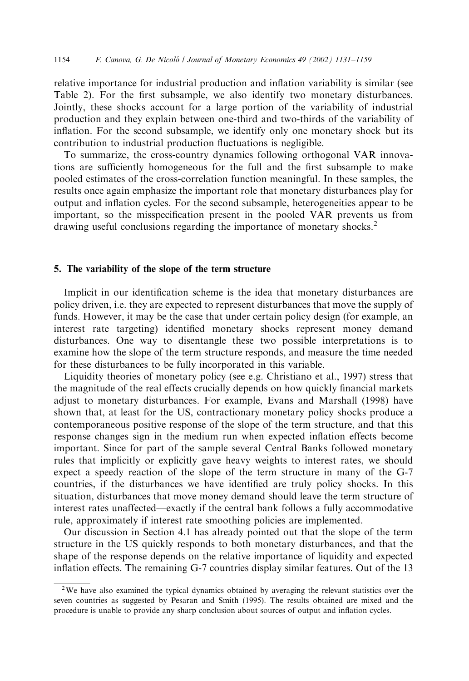relative importance for industrial production and inflation variability is similar (see Table 2). For the first subsample, we also identify two monetary disturbances. Jointly, these shocks account for a large portion of the variability of industrial production and they explain between one-third and two-thirds of the variability of inflation. For the second subsample, we identify only one monetary shock but its contribution to industrial production fluctuations is negligible.

To summarize, the cross-country dynamics following orthogonal VAR innovations are sufficiently homogeneous for the full and the first subsample to make pooled estimates of the cross-correlation function meaningful. In these samples, the results once again emphasize the important role that monetary disturbances play for output and inflation cycles. For the second subsample, heterogeneities appear to be important, so the misspecification present in the pooled VAR prevents us from drawing useful conclusions regarding the importance of monetary shocks.<sup>2</sup>

## 5. The variability of the slope of the term structure

Implicit in our identification scheme is the idea that monetary disturbances are policy driven, i.e. they are expected to represent disturbances that move the supply of funds. However, it may be the case that under certain policy design (for example, an interest rate targeting) identified monetary shocks represent money demand disturbances. One way to disentangle these two possible interpretations is to examine how the slope of the term structure responds, and measure the time needed for these disturbances to be fully incorporated in this variable.

Liquidity theories of monetary policy (see e.g. Christiano et al., 1997) stress that the magnitude of the real effects crucially depends on how quickly financial markets adjust to monetary disturbances. For example, Evans and Marshall (1998) have shown that, at least for the US, contractionary monetary policy shocks produce a contemporaneous positive response of the slope of the term structure, and that this response changes sign in the medium run when expected inflation effects become important. Since for part of the sample several Central Banks followed monetary rules that implicitly or explicitly gave heavy weights to interest rates, we should expect a speedy reaction of the slope of the term structure in many of the G-7 countries, if the disturbances we have identified are truly policy shocks. In this situation, disturbances that move money demand should leave the term structure of interest rates unaffected—exactly if the central bank follows a fully accommodative rule, approximately if interest rate smoothing policies are implemented.

Our discussion in Section 4.1 has already pointed out that the slope of the term structure in the US quickly responds to both monetary disturbances, and that the shape of the response depends on the relative importance of liquidity and expected inflation effects. The remaining G-7 countries display similar features. Out of the 13

 $2$ We have also examined the typical dynamics obtained by averaging the relevant statistics over the seven countries as suggested by Pesaran and Smith (1995). The results obtained are mixed and the procedure is unable to provide any sharp conclusion about sources of output and inflation cycles.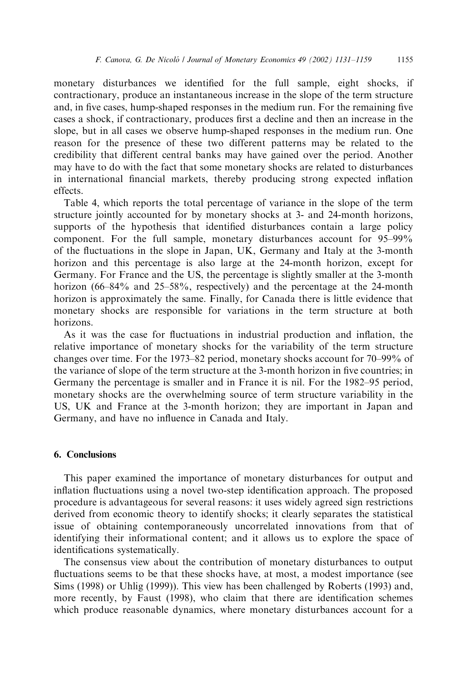monetary disturbances we identified for the full sample, eight shocks, if contractionary, produce an instantaneous increase in the slope of the term structure and, in five cases, hump-shaped responses in the medium run. For the remaining five cases a shock, if contractionary, produces first a decline and then an increase in the slope, but in all cases we observe hump-shaped responses in the medium run. One reason for the presence of these two different patterns may be related to the credibility that different central banks may have gained over the period. Another may have to do with the fact that some monetary shocks are related to disturbances in international financial markets, thereby producing strong expected inflation effects.

Table 4, which reports the total percentage of variance in the slope of the term structure jointly accounted for by monetary shocks at 3- and 24-month horizons, supports of the hypothesis that identified disturbances contain a large policy component. For the full sample, monetary disturbances account for 95–99% of the fluctuations in the slope in Japan, UK, Germany and Italy at the 3-month horizon and this percentage is also large at the 24-month horizon, except for Germany. For France and the US, the percentage is slightly smaller at the 3-month horizon  $(66–84\%)$  and  $25–58\%$ , respectively) and the percentage at the 24-month horizon is approximately the same. Finally, for Canada there is little evidence that monetary shocks are responsible for variations in the term structure at both horizons.

As it was the case for fluctuations in industrial production and inflation, the relative importance of monetary shocks for the variability of the term structure changes over time. For the 1973–82 period, monetary shocks account for 70–99% of the variance of slope of the term structure at the 3-month horizon in five countries; in Germany the percentage is smaller and in France it is nil. For the 1982–95 period, monetary shocks are the overwhelming source of term structure variability in the US, UK and France at the 3-month horizon; they are important in Japan and Germany, and have no influence in Canada and Italy.

## 6. Conclusions

This paper examined the importance of monetary disturbances for output and inflation fluctuations using a novel two-step identification approach. The proposed procedure is advantageous for several reasons: it uses widely agreed sign restrictions derived from economic theory to identify shocks; it clearly separates the statistical issue of obtaining contemporaneously uncorrelated innovations from that of identifying their informational content; and it allows us to explore the space of identifications systematically.

The consensus view about the contribution of monetary disturbances to output fluctuations seems to be that these shocks have, at most, a modest importance (see Sims (1998) or Uhlig (1999)). This view has been challenged by Roberts (1993) and, more recently, by Faust (1998), who claim that there are identification schemes which produce reasonable dynamics, where monetary disturbances account for a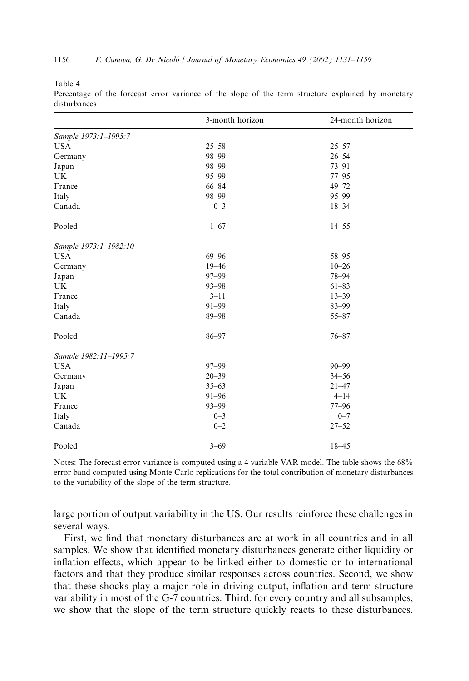Table 4

Percentage of the forecast error variance of the slope of the term structure explained by monetary disturbances

|                       | 3-month horizon | 24-month horizon |
|-----------------------|-----------------|------------------|
| Sample 1973:1-1995:7  |                 |                  |
| <b>USA</b>            | $25 - 58$       | $25 - 57$        |
| Germany               | 98-99           | $26 - 54$        |
| Japan                 | 98-99           | $73 - 91$        |
| <b>UK</b>             | 95-99           | $77 - 95$        |
| France                | $66 - 84$       | $49 - 72$        |
| Italy                 | 98-99           | 95-99            |
| Canada                | $0 - 3$         | $18 - 34$        |
| Pooled                | $1 - 67$        | $14 - 55$        |
| Sample 1973:1-1982:10 |                 |                  |
| <b>USA</b>            | $69 - 96$       | $58 - 95$        |
| Germany               | $19 - 46$       | $10 - 26$        |
| Japan                 | $97 - 99$       | $78 - 94$        |
| <b>UK</b>             | $93 - 98$       | $61 - 83$        |
| France                | $3 - 11$        | $13 - 39$        |
| Italy                 | $91 - 99$       | 83-99            |
| Canada                | $89 - 98$       | $55 - 87$        |
| Pooled                | $86 - 97$       | $76 - 87$        |
| Sample 1982:11-1995:7 |                 |                  |
| <b>USA</b>            | 97-99           | $90 - 99$        |
| Germany               | $20 - 39$       | $34 - 56$        |
| Japan                 | $35 - 63$       | $21 - 47$        |
| <b>UK</b>             | $91 - 96$       | $4 - 14$         |
| France                | $93 - 99$       | $77 - 96$        |
| Italy                 | $0 - 3$         | $0 - 7$          |
| Canada                | $0 - 2$         | $27 - 52$        |
| Pooled                | $3 - 69$        | $18 - 45$        |

Notes: The forecast error variance is computed using a 4 variable VAR model. The table shows the 68% error band computed using Monte Carlo replications for the total contribution of monetary disturbances to the variability of the slope of the term structure.

large portion of output variability in the US. Our results reinforce these challenges in several ways.

First, we find that monetary disturbances are at work in all countries and in all samples. We show that identified monetary disturbances generate either liquidity or inflation effects, which appear to be linked either to domestic or to international factors and that they produce similar responses across countries. Second, we show that these shocks play a major role in driving output, inflation and term structure variability in most of the G-7 countries. Third, for every country and all subsamples, we show that the slope of the term structure quickly reacts to these disturbances.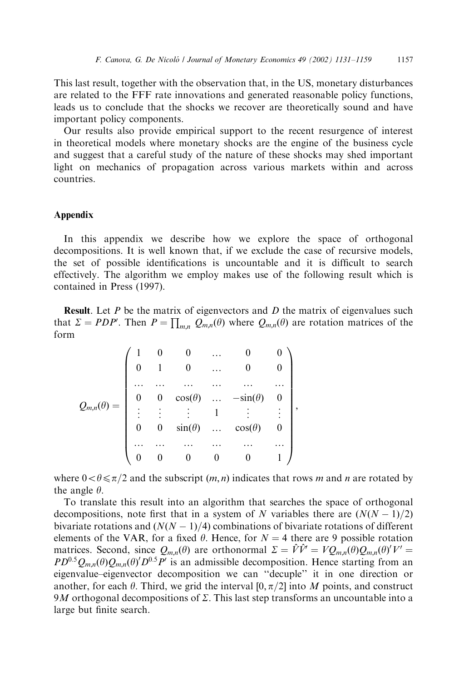This last result, together with the observation that, in the US, monetary disturbances are related to the FFF rate innovations and generated reasonable policy functions, leads us to conclude that the shocks we recover are theoretically sound and have important policy components.

Our results also provide empirical support to the recent resurgence of interest in theoretical models where monetary shocks are the engine of the business cycle and suggest that a careful study of the nature of these shocks may shed important light on mechanics of propagation across various markets within and across countries.

## Appendix

In this appendix we describe how we explore the space of orthogonal decompositions. It is well known that, if we exclude the case of recursive models, the set of possible identifications is uncountable and it is difficult to search effectively. The algorithm we employ makes use of the following result which is contained in Press (1997).

**Result.** Let  $P$  be the matrix of eigenvectors and  $D$  the matrix of eigenvalues such that  $\Sigma = PDP'$ . Then  $P = \prod_{m,n} Q_{m,n}(\theta)$  where  $Q_{m,n}(\theta)$  are rotation matrices of the form

| $Q_{m,n}(\theta)$ | $\boldsymbol{0}$<br>$\boldsymbol{0}$ | 0 | $cos(\theta)$<br>$sin(\theta)$ | $\ddotsc$ | $-\sin(\theta)$<br>$cos(\theta)$ | , |
|-------------------|--------------------------------------|---|--------------------------------|-----------|----------------------------------|---|
|                   |                                      |   |                                |           |                                  |   |

where  $0 < \theta \le \pi/2$  and the subscript  $(m, n)$  indicates that rows m and n are rotated by the angle  $\theta$ .

To translate this result into an algorithm that searches the space of orthogonal decompositions, note first that in a system of N variables there are  $(N(N-1)/2)$ bivariate rotations and  $(N(N-1)/4)$  combinations of bivariate rotations of different elements of the VAR, for a fixed  $\theta$ . Hence, for  $N = 4$  there are 9 possible rotation matrices. Second, since  $Q_{m,n}(\theta)$  are orthonormal  $\Sigma = \hat{V}\hat{V}^{\dagger} = VQ_{m,n}(\theta)Q_{m,n}(\theta)V^{\dagger} = VQ_{m,n}(\theta)Q_{m,n}(\theta)V^{\dagger}$  $PD^{0.5}Q_{m,n}(\theta)Q_{m,n}(\theta)D^{0.5}P'$  is an admissible decomposition. Hence starting from an eigenvalue–eigenvector decomposition we can ''decuple'' it in one direction or another, for each  $\theta$ . Third, we grid the interval [0,  $\pi/2$ ] into M points, and construct 9M orthogonal decompositions of  $\Sigma$ . This last step transforms an uncountable into a large but finite search.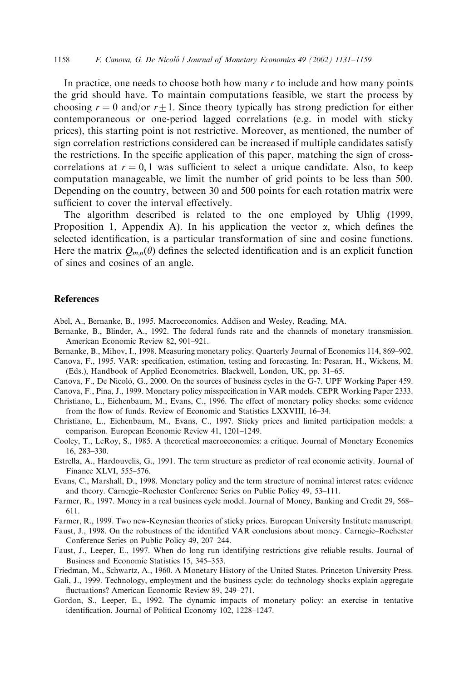In practice, one needs to choose both how many  $r$  to include and how many points the grid should have. To maintain computations feasible, we start the process by choosing  $r = 0$  and/or  $r + 1$ . Since theory typically has strong prediction for either contemporaneous or one-period lagged correlations (e.g. in model with sticky prices), this starting point is not restrictive. Moreover, as mentioned, the number of sign correlation restrictions considered can be increased if multiple candidates satisfy the restrictions. In the specific application of this paper, matching the sign of crosscorrelations at  $r = 0, 1$  was sufficient to select a unique candidate. Also, to keep computation manageable, we limit the number of grid points to be less than 500. Depending on the country, between 30 and 500 points for each rotation matrix were sufficient to cover the interval effectively.

The algorithm described is related to the one employed by Uhlig (1999, Proposition 1, Appendix A). In his application the vector  $\alpha$ , which defines the selected identification, is a particular transformation of sine and cosine functions. Here the matrix  $Q_{mn}(\theta)$  defines the selected identification and is an explicit function of sines and cosines of an angle.

### References

Abel, A., Bernanke, B., 1995. Macroeconomics. Addison and Wesley, Reading, MA.

- Bernanke, B., Blinder, A., 1992. The federal funds rate and the channels of monetary transmission. American Economic Review 82, 901–921.
- Bernanke, B., Mihov, I., 1998. Measuring monetary policy. Quarterly Journal of Economics 114, 869–902.
- Canova, F., 1995. VAR: specification, estimation, testing and forecasting. In: Pesaran, H., Wickens, M. (Eds.), Handbook of Applied Econometrics. Blackwell, London, UK, pp. 31–65.

Canova, F., De Nicoló, G., 2000. On the sources of business cycles in the G-7. UPF Working Paper 459.

Canova, F., Pina, J., 1999. Monetary policy misspecification in VAR models. CEPR Working Paper 2333.

- Christiano, L., Eichenbaum, M., Evans, C., 1996. The effect of monetary policy shocks: some evidence from the flow of funds. Review of Economic and Statistics LXXVIII, 16–34.
- Christiano, L., Eichenbaum, M., Evans, C., 1997. Sticky prices and limited participation models: a comparison. European Economic Review 41, 1201–1249.
- Cooley, T., LeRoy, S., 1985. A theoretical macroeconomics: a critique. Journal of Monetary Economics 16, 283–330.
- Estrella, A., Hardouvelis, G., 1991. The term structure as predictor of real economic activity. Journal of Finance XLVI, 555–576.
- Evans, C., Marshall, D., 1998. Monetary policy and the term structure of nominal interest rates: evidence and theory. Carnegie–Rochester Conference Series on Public Policy 49, 53–111.
- Farmer, R., 1997. Money in a real business cycle model. Journal of Money, Banking and Credit 29, 568– 611.
- Farmer, R., 1999. Two new-Keynesian theories of sticky prices. European University Institute manuscript.
- Faust, J., 1998. On the robustness of the identified VAR conclusions about money. Carnegie–Rochester Conference Series on Public Policy 49, 207–244.
- Faust, J., Leeper, E., 1997. When do long run identifying restrictions give reliable results. Journal of Business and Economic Statistics 15, 345–353.
- Friedman, M., Schwartz, A., 1960. A Monetary History of the United States. Princeton University Press.
- Gali, J., 1999. Technology, employment and the business cycle: do technology shocks explain aggregate fluctuations? American Economic Review 89, 249–271.
- Gordon, S., Leeper, E., 1992. The dynamic impacts of monetary policy: an exercise in tentative identification. Journal of Political Economy 102, 1228–1247.